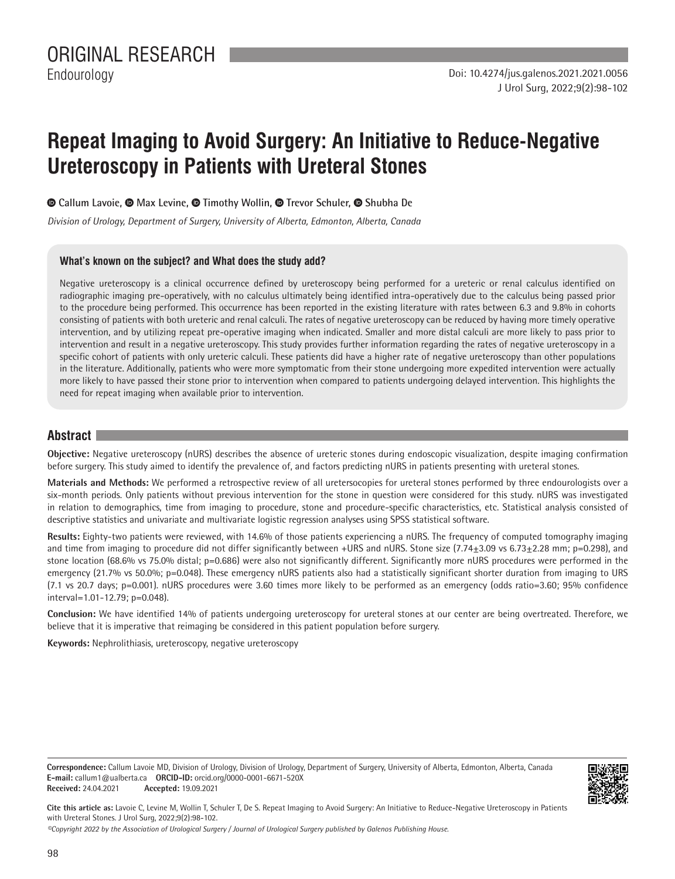# **Repeat Imaging to Avoid Surgery: An Initiative to Reduce-Negative Ureteroscopy in Patients with Ureteral Stones**

**Callum Lavoie, Max Levine,Timothy Wollin, Trevor Schuler,Shubha De**

*Division of Urology, Department of Surgery, University of Alberta, Edmonton, Alberta, Canada*

#### **What's known on the subject? and What does the study add?**

Negative ureteroscopy is a clinical occurrence defined by ureteroscopy being performed for a ureteric or renal calculus identified on radiographic imaging pre-operatively, with no calculus ultimately being identified intra-operatively due to the calculus being passed prior to the procedure being performed. This occurrence has been reported in the existing literature with rates between 6.3 and 9.8% in cohorts consisting of patients with both ureteric and renal calculi. The rates of negative ureteroscopy can be reduced by having more timely operative intervention, and by utilizing repeat pre-operative imaging when indicated. Smaller and more distal calculi are more likely to pass prior to intervention and result in a negative ureteroscopy. This study provides further information regarding the rates of negative ureteroscopy in a specific cohort of patients with only ureteric calculi. These patients did have a higher rate of negative ureteroscopy than other populations in the literature. Additionally, patients who were more symptomatic from their stone undergoing more expedited intervention were actually more likely to have passed their stone prior to intervention when compared to patients undergoing delayed intervention. This highlights the need for repeat imaging when available prior to intervention.

### **Abstract**

**Objective:** Negative ureteroscopy (nURS) describes the absence of ureteric stones during endoscopic visualization, despite imaging confirmation before surgery. This study aimed to identify the prevalence of, and factors predicting nURS in patients presenting with ureteral stones.

**Materials and Methods:** We performed a retrospective review of all uretersocopies for ureteral stones performed by three endourologists over a six-month periods. Only patients without previous intervention for the stone in question were considered for this study. nURS was investigated in relation to demographics, time from imaging to procedure, stone and procedure-specific characteristics, etc. Statistical analysis consisted of descriptive statistics and univariate and multivariate logistic regression analyses using SPSS statistical software.

**Results:** Eighty-two patients were reviewed, with 14.6% of those patients experiencing a nURS. The frequency of computed tomography imaging and time from imaging to procedure did not differ significantly between +URS and nURS. Stone size (7.74±3.09 vs 6.73±2.28 mm; p=0.298), and stone location (68.6% vs 75.0% distal; p=0.686) were also not significantly different. Significantly more nURS procedures were performed in the emergency (21.7% vs 50.0%; p=0.048). These emergency nURS patients also had a statistically significant shorter duration from imaging to URS (7.1 vs 20.7 days; p=0.001). nURS procedures were 3.60 times more likely to be performed as an emergency (odds ratio=3.60; 95% confidence interval=1.01-12.79; p=0.048).

**Conclusion:** We have identified 14% of patients undergoing ureteroscopy for ureteral stones at our center are being overtreated. Therefore, we believe that it is imperative that reimaging be considered in this patient population before surgery.

**Keywords:** Nephrolithiasis, ureteroscopy, negative ureteroscopy

**Correspondence:** Callum Lavoie MD, Division of Urology, Division of Urology, Department of Surgery, University of Alberta, Edmonton, Alberta, Canada **E-mail:** callum1@ualberta.ca **ORCID-ID:** orcid.org/0000-0001-6671-520X **Received:** 24.04.2021 **Accepted:** 19.09.2021



**Cite this article as:** Lavoie C, Levine M, Wollin T, Schuler T, De S. Repeat Imaging to Avoid Surgery: An Initiative to Reduce-Negative Ureteroscopy in Patients with Ureteral Stones. J Urol Surg, 2022;9(2):98-102.

*©Copyright 2022 by the Association of Urological Surgery / Journal of Urological Surgery published by Galenos Publishing House.*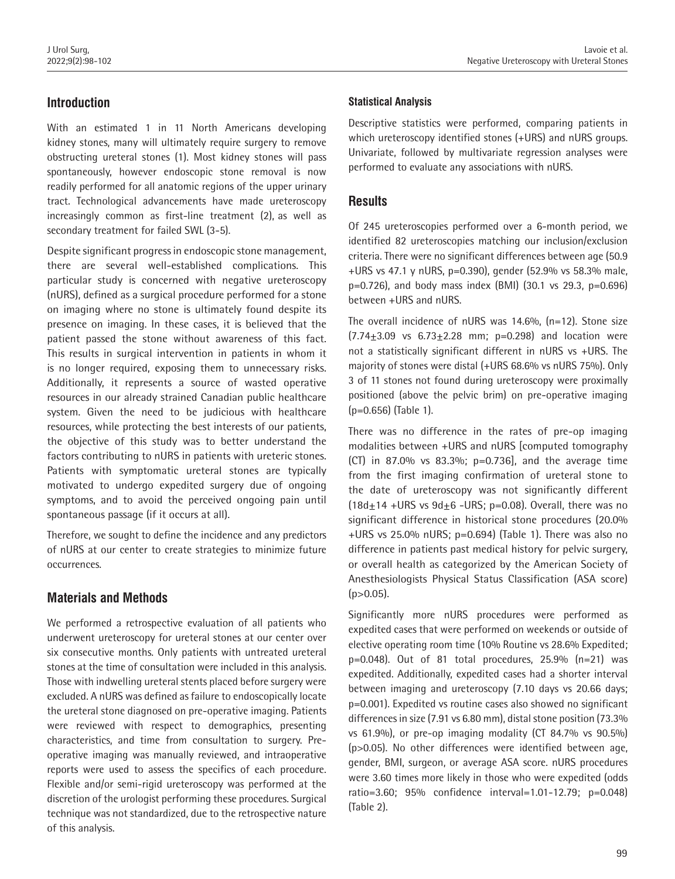# **Introduction**

With an estimated 1 in 11 North Americans developing kidney stones, many will ultimately require surgery to remove obstructing ureteral stones (1). Most kidney stones will pass spontaneously, however endoscopic stone removal is now readily performed for all anatomic regions of the upper urinary tract. Technological advancements have made ureteroscopy increasingly common as first-line treatment (2), as well as secondary treatment for failed SWL (3-5).

Despite significant progress in endoscopic stone management, there are several well-established complications. This particular study is concerned with negative ureteroscopy (nURS), defined as a surgical procedure performed for a stone on imaging where no stone is ultimately found despite its presence on imaging. In these cases, it is believed that the patient passed the stone without awareness of this fact. This results in surgical intervention in patients in whom it is no longer required, exposing them to unnecessary risks. Additionally, it represents a source of wasted operative resources in our already strained Canadian public healthcare system. Given the need to be judicious with healthcare resources, while protecting the best interests of our patients, the objective of this study was to better understand the factors contributing to nURS in patients with ureteric stones. Patients with symptomatic ureteral stones are typically motivated to undergo expedited surgery due of ongoing symptoms, and to avoid the perceived ongoing pain until spontaneous passage (if it occurs at all).

Therefore, we sought to define the incidence and any predictors of nURS at our center to create strategies to minimize future occurrences.

## **Materials and Methods**

We performed a retrospective evaluation of all patients who underwent ureteroscopy for ureteral stones at our center over six consecutive months. Only patients with untreated ureteral stones at the time of consultation were included in this analysis. Those with indwelling ureteral stents placed before surgery were excluded. A nURS was defined as failure to endoscopically locate the ureteral stone diagnosed on pre-operative imaging. Patients were reviewed with respect to demographics, presenting characteristics, and time from consultation to surgery. Preoperative imaging was manually reviewed, and intraoperative reports were used to assess the specifics of each procedure. Flexible and/or semi-rigid ureteroscopy was performed at the discretion of the urologist performing these procedures. Surgical technique was not standardized, due to the retrospective nature of this analysis.

### **Statistical Analysis**

Descriptive statistics were performed, comparing patients in which ureteroscopy identified stones (+URS) and nURS groups. Univariate, followed by multivariate regression analyses were performed to evaluate any associations with nURS.

## **Results**

Of 245 ureteroscopies performed over a 6-month period, we identified 82 ureteroscopies matching our inclusion/exclusion criteria. There were no significant differences between age (50.9 +URS vs 47.1 y nURS, p=0.390), gender (52.9% vs 58.3% male, p=0.726), and body mass index (BMI) (30.1 vs 29.3, p=0.696) between +URS and nURS.

The overall incidence of nURS was 14.6%, (n=12). Stone size  $(7.74 \pm 3.09 \text{ vs } 6.73 \pm 2.28 \text{ mm}; \text{ p=0.298})$  and location were not a statistically significant different in nURS vs +URS. The majority of stones were distal (+URS 68.6% vs nURS 75%). Only 3 of 11 stones not found during ureteroscopy were proximally positioned (above the pelvic brim) on pre-operative imaging (p=0.656) (Table 1).

There was no difference in the rates of pre-op imaging modalities between +URS and nURS [computed tomography (CT) in 87.0% vs 83.3%; p=0.736], and the average time from the first imaging confirmation of ureteral stone to the date of ureteroscopy was not significantly different  $(18d<sub>±</sub>14 + URS vs 9d<sub>±</sub>6 - URS; p=0.08)$ . Overall, there was no significant difference in historical stone procedures (20.0% +URS vs 25.0% nURS; p=0.694) (Table 1). There was also no difference in patients past medical history for pelvic surgery, or overall health as categorized by the American Society of Anesthesiologists Physical Status Classification (ASA score)  $(p > 0.05)$ .

Significantly more nURS procedures were performed as expedited cases that were performed on weekends or outside of elective operating room time (10% Routine vs 28.6% Expedited;  $p=0.048$ ). Out of 81 total procedures, 25.9%  $(n=21)$  was expedited. Additionally, expedited cases had a shorter interval between imaging and ureteroscopy (7.10 days vs 20.66 days; p=0.001). Expedited vs routine cases also showed no significant differences in size (7.91 vs 6.80 mm), distal stone position (73.3% vs 61.9%), or pre-op imaging modality (CT 84.7% vs 90.5%) (p>0.05). No other differences were identified between age, gender, BMI, surgeon, or average ASA score. nURS procedures were 3.60 times more likely in those who were expedited (odds ratio=3.60; 95% confidence interval=1.01-12.79; p=0.048) (Table 2).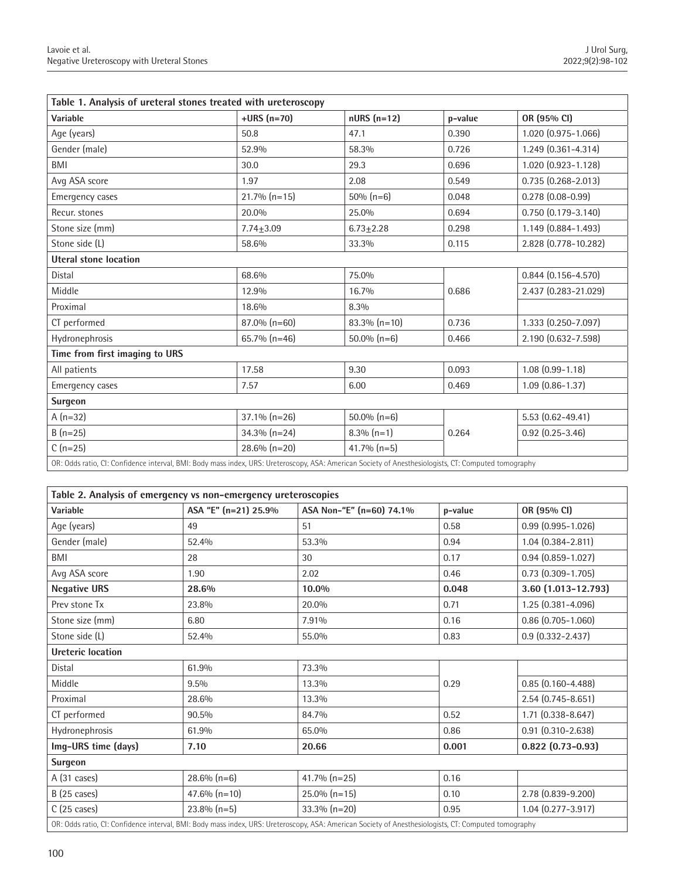| Table 1. Analysis of ureteral stones treated with ureteroscopy                                                                                        |                 |                 |         |                        |  |  |
|-------------------------------------------------------------------------------------------------------------------------------------------------------|-----------------|-----------------|---------|------------------------|--|--|
| Variable                                                                                                                                              | $+URS(n=70)$    | $nURS(n=12)$    | p-value | OR (95% CI)            |  |  |
| Age (years)                                                                                                                                           | 50.8            | 47.1            | 0.390   | 1.020 (0.975-1.066)    |  |  |
| Gender (male)                                                                                                                                         | 52.9%           | 58.3%           | 0.726   | 1.249 (0.361-4.314)    |  |  |
| BMI                                                                                                                                                   | 30.0            | 29.3            | 0.696   | 1.020 (0.923-1.128)    |  |  |
| Avg ASA score                                                                                                                                         | 1.97            | 2.08            | 0.549   | $0.735(0.268 - 2.013)$ |  |  |
| Emergency cases                                                                                                                                       | $21.7\%$ (n=15) | $50\% (n=6)$    | 0.048   | $0.278(0.08-0.99)$     |  |  |
| Recur. stones                                                                                                                                         | 20.0%           | 25.0%           | 0.694   | $0.750(0.179 - 3.140)$ |  |  |
| Stone size (mm)                                                                                                                                       | $7.74 + 3.09$   | $6.73 + 2.28$   | 0.298   | 1.149 (0.884-1.493)    |  |  |
| Stone side (L)                                                                                                                                        | 58.6%           | 33.3%           | 0.115   | 2.828 (0.778-10.282)   |  |  |
| <b>Uteral stone location</b>                                                                                                                          |                 |                 |         |                        |  |  |
| Distal                                                                                                                                                | 68.6%           | 75.0%           |         | $0.844(0.156 - 4.570)$ |  |  |
| Middle                                                                                                                                                | 12.9%           | 16.7%           | 0.686   | 2.437 (0.283-21.029)   |  |  |
| Proximal                                                                                                                                              | 18.6%           | 8.3%            |         |                        |  |  |
| CT performed                                                                                                                                          | 87.0% (n=60)    | $83.3\%$ (n=10) | 0.736   | 1.333 (0.250-7.097)    |  |  |
| Hydronephrosis                                                                                                                                        | 65.7% (n=46)    | $50.0\%$ (n=6)  | 0.466   | 2.190 (0.632-7.598)    |  |  |
| Time from first imaging to URS                                                                                                                        |                 |                 |         |                        |  |  |
| All patients                                                                                                                                          | 17.58           | 9.30            | 0.093   | $1.08(0.99 - 1.18)$    |  |  |
| Emergency cases                                                                                                                                       | 7.57            | 6.00            | 0.469   | $1.09(0.86 - 1.37)$    |  |  |
| <b>Surgeon</b>                                                                                                                                        |                 |                 |         |                        |  |  |
| $A(n=32)$                                                                                                                                             | $37.1\% (n=26)$ | $50.0\%$ (n=6)  |         | $5.53(0.62 - 49.41)$   |  |  |
| $B(n=25)$                                                                                                                                             | $34.3\%$ (n=24) | $8.3\%$ (n=1)   | 0.264   | $0.92$ $(0.25 - 3.46)$ |  |  |
| $C(n=25)$                                                                                                                                             | 28.6% (n=20)    | $41.7\%$ (n=5)  |         |                        |  |  |
| OR: Odds ratio, CI: Confidence interval, BMI: Body mass index, URS: Ureteroscopy, ASA: American Society of Anesthesiologists, CT: Computed tomography |                 |                 |         |                        |  |  |

| Table 2. Analysis of emergency vs non-emergency ureteroscopies                                                                                        |                      |                          |         |                          |  |  |
|-------------------------------------------------------------------------------------------------------------------------------------------------------|----------------------|--------------------------|---------|--------------------------|--|--|
| Variable                                                                                                                                              | ASA "E" (n=21) 25.9% | ASA Non-"E" (n=60) 74.1% | p-value | OR (95% CI)              |  |  |
| Age (years)                                                                                                                                           | 49                   | 51                       | 0.58    | $0.99$ $(0.995 - 1.026)$ |  |  |
| Gender (male)                                                                                                                                         | 52.4%                | 53.3%                    | 0.94    | $1.04(0.384 - 2.811)$    |  |  |
| BMI                                                                                                                                                   | 28                   | 30                       | 0.17    | $0.94(0.859 - 1.027)$    |  |  |
| Avg ASA score                                                                                                                                         | 1.90                 | 2.02                     | 0.46    | $0.73$ $(0.309 - 1.705)$ |  |  |
| <b>Negative URS</b>                                                                                                                                   | 28.6%                | 10.0%                    | 0.048   | 3.60 (1.013-12.793)      |  |  |
| Prev stone Tx                                                                                                                                         | 23.8%                | 20.0%                    | 0.71    | 1.25 (0.381-4.096)       |  |  |
| Stone size (mm)                                                                                                                                       | 6.80                 | 7.91%                    | 0.16    | $0.86$ (0.705-1.060)     |  |  |
| Stone side (L)                                                                                                                                        | 52.4%                | 55.0%                    | 0.83    | $0.9(0.332 - 2.437)$     |  |  |
| <b>Ureteric location</b>                                                                                                                              |                      |                          |         |                          |  |  |
| Distal                                                                                                                                                | 61.9%                | 73.3%                    | 0.29    |                          |  |  |
| Middle                                                                                                                                                | 9.5%                 | 13.3%                    |         | $0.85(0.160 - 4.488)$    |  |  |
| Proximal                                                                                                                                              | 28.6%                | 13.3%                    |         | $2.54(0.745 - 8.651)$    |  |  |
| CT performed                                                                                                                                          | 90.5%                | 84.7%                    | 0.52    | $1.71$ $(0.338 - 8.647)$ |  |  |
| Hydronephrosis                                                                                                                                        | 61.9%                | 65.0%                    | 0.86    | $0.91$ $(0.310 - 2.638)$ |  |  |
| Img-URS time (days)                                                                                                                                   | 7.10                 | 20.66                    | 0.001   | $0.822$ (0.73-0.93)      |  |  |
| Surgeon                                                                                                                                               |                      |                          |         |                          |  |  |
| A (31 cases)                                                                                                                                          | $28.6\%$ (n=6)       | 41.7% (n=25)             | 0.16    |                          |  |  |
| $B(25 \text{ cases})$                                                                                                                                 | $47.6\% (n=10)$      | $25.0\% (n=15)$          | 0.10    | 2.78 (0.839-9.200)       |  |  |
| $C(25 \text{ cases})$                                                                                                                                 | $23.8\%$ (n=5)       | $33.3\%$ (n=20)          | 0.95    | $1.04(0.277 - 3.917)$    |  |  |
| OR: Odds ratio, CI: Confidence interval, BMI: Body mass index, URS: Ureteroscopy, ASA: American Society of Anesthesiologists, CT: Computed tomography |                      |                          |         |                          |  |  |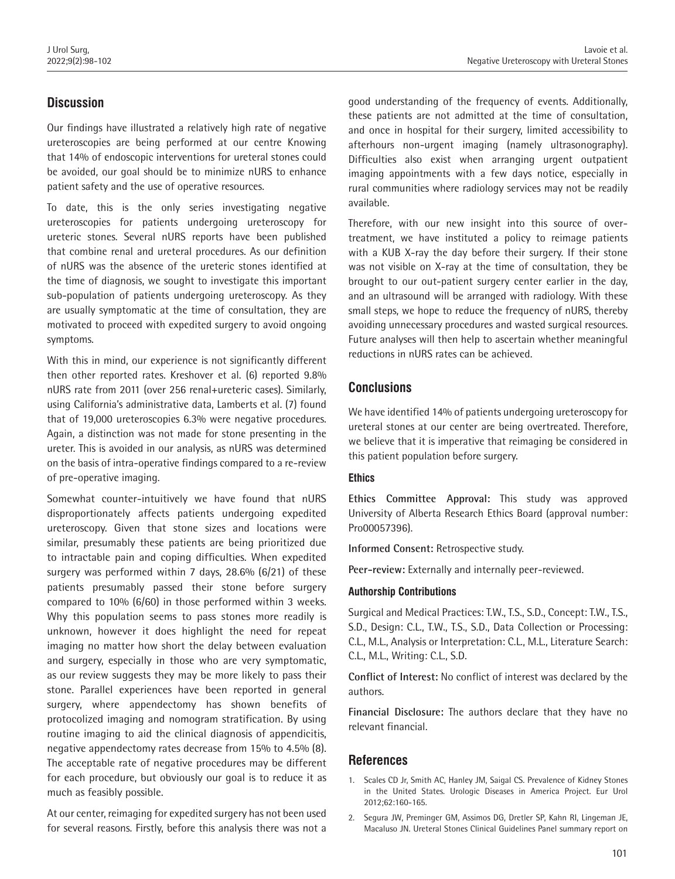# **Discussion**

Our findings have illustrated a relatively high rate of negative ureteroscopies are being performed at our centre Knowing that 14% of endoscopic interventions for ureteral stones could be avoided, our goal should be to minimize nURS to enhance patient safety and the use of operative resources.

To date, this is the only series investigating negative ureteroscopies for patients undergoing ureteroscopy for ureteric stones. Several nURS reports have been published that combine renal and ureteral procedures. As our definition of nURS was the absence of the ureteric stones identified at the time of diagnosis, we sought to investigate this important sub-population of patients undergoing ureteroscopy. As they are usually symptomatic at the time of consultation, they are motivated to proceed with expedited surgery to avoid ongoing symptoms.

With this in mind, our experience is not significantly different then other reported rates. Kreshover et al. (6) reported 9.8% nURS rate from 2011 (over 256 renal+ureteric cases). Similarly, using California's administrative data, Lamberts et al. (7) found that of 19,000 ureteroscopies 6.3% were negative procedures. Again, a distinction was not made for stone presenting in the ureter. This is avoided in our analysis, as nURS was determined on the basis of intra-operative findings compared to a re-review of pre-operative imaging.

Somewhat counter-intuitively we have found that nURS disproportionately affects patients undergoing expedited ureteroscopy. Given that stone sizes and locations were similar, presumably these patients are being prioritized due to intractable pain and coping difficulties. When expedited surgery was performed within 7 days, 28.6% (6/21) of these patients presumably passed their stone before surgery compared to 10% (6/60) in those performed within 3 weeks. Why this population seems to pass stones more readily is unknown, however it does highlight the need for repeat imaging no matter how short the delay between evaluation and surgery, especially in those who are very symptomatic, as our review suggests they may be more likely to pass their stone. Parallel experiences have been reported in general surgery, where appendectomy has shown benefits of protocolized imaging and nomogram stratification. By using routine imaging to aid the clinical diagnosis of appendicitis, negative appendectomy rates decrease from 15% to 4.5% (8). The acceptable rate of negative procedures may be different for each procedure, but obviously our goal is to reduce it as much as feasibly possible.

At our center, reimaging for expedited surgery has not been used for several reasons. Firstly, before this analysis there was not a good understanding of the frequency of events. Additionally, these patients are not admitted at the time of consultation, and once in hospital for their surgery, limited accessibility to afterhours non-urgent imaging (namely ultrasonography). Difficulties also exist when arranging urgent outpatient imaging appointments with a few days notice, especially in rural communities where radiology services may not be readily available.

Therefore, with our new insight into this source of overtreatment, we have instituted a policy to reimage patients with a KUB X-ray the day before their surgery. If their stone was not visible on X-ray at the time of consultation, they be brought to our out-patient surgery center earlier in the day, and an ultrasound will be arranged with radiology. With these small steps, we hope to reduce the frequency of nURS, thereby avoiding unnecessary procedures and wasted surgical resources. Future analyses will then help to ascertain whether meaningful reductions in nURS rates can be achieved.

## **Conclusions**

We have identified 14% of patients undergoing ureteroscopy for ureteral stones at our center are being overtreated. Therefore, we believe that it is imperative that reimaging be considered in this patient population before surgery.

#### **Ethics**

**Ethics Committee Approval:** This study was approved University of Alberta Research Ethics Board (approval number: Pro00057396).

**Informed Consent:** Retrospective study.

**Peer-review:** Externally and internally peer-reviewed.

#### **Authorship Contributions**

Surgical and Medical Practices: T.W., T.S., S.D., Concept: T.W., T.S., S.D., Design: C.L., T.W., T.S., S.D., Data Collection or Processing: C.L., M.L., Analysis or Interpretation: C.L., M.L., Literature Search: C.L., M.L., Writing: C.L., S.D.

**Conflict of Interest:** No conflict of interest was declared by the authors.

**Financial Disclosure:** The authors declare that they have no relevant financial.

## **References**

- 1. Scales CD Jr, Smith AC, Hanley JM, Saigal CS. Prevalence of Kidney Stones in the United States. Urologic Diseases in America Project. Eur Urol 2012;62:160-165.
- 2. Segura JW, Preminger GM, Assimos DG, Dretler SP, Kahn RI, Lingeman JE, Macaluso JN. Ureteral Stones Clinical Guidelines Panel summary report on